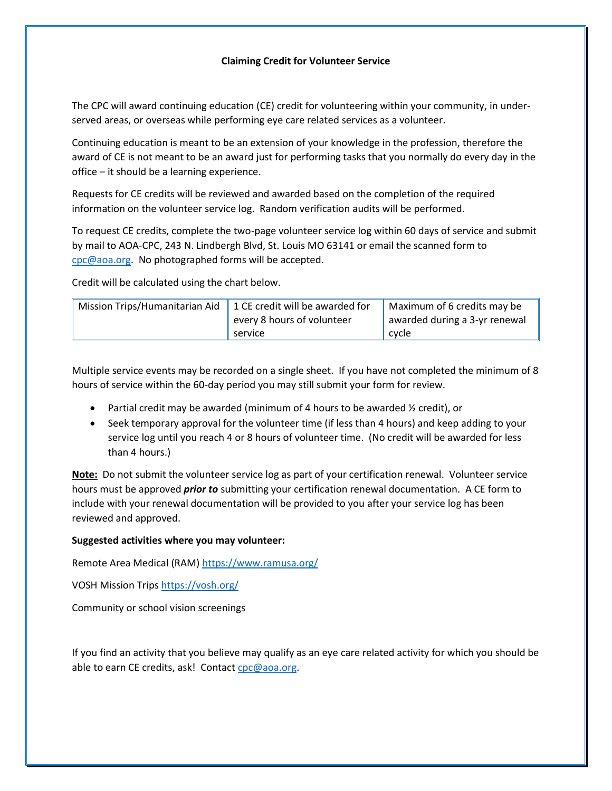## **Claiming Credit for Volunteer Service**

The CPC will award continuing education (CE) credit for volunteering within your community, in underserved areas, or overseas while performing eye care related services as a volunteer.

Continuing education is meant to be an extension of your knowledge in the profession, therefore the award of CE is not meant to be an award just for performing tasks that you normally do every day in the office – it should be a learning experience.

Requests for CE credits will be reviewed and awarded based on the completion of the required information on the volunteer service log. Random verification audits will be performed.

To request CE credits, complete the two-page volunteer service log within 60 days of service and submit by mail to AOA-CPC, 243 N. Lindbergh Blvd, St. Louis MO 63141 or email the scanned form to [cpc@aoa.org.](mailto:cpc@aoa.org) No photographed forms will be accepted.

Credit will be calculated using the chart below.

| Mission Trips/Humanitarian Aid | 1 CE credit will be awarded for       | Maximum of 6 credits may be              |  |
|--------------------------------|---------------------------------------|------------------------------------------|--|
|                                | every 8 hours of volunteer<br>service | awarded during a 3-yr renewal<br>l cvcle |  |
|                                |                                       |                                          |  |

Multiple service events may be recorded on a single sheet. If you have not completed the minimum of 8 hours of service within the 60-day period you may still submit your form for review.

- Partial credit may be awarded (minimum of 4 hours to be awarded  $\frac{1}{2}$  credit), or
- Seek temporary approval for the volunteer time (if less than 4 hours) and keep adding to your service log until you reach 4 or 8 hours of volunteer time. (No credit will be awarded for less than 4 hours.)

**Note:** Do not submit the volunteer service log as part of your certification renewal. Volunteer service hours must be approved *prior to* submitting your certification renewal documentation. A CE form to include with your renewal documentation will be provided to you after your service log has been reviewed and approved.

## **Suggested activities where you may volunteer:**

Remote Area Medical (RAM)<https://www.ramusa.org/>

VOSH Mission Trips<https://vosh.org/>

Community or school vision screenings

If you find an activity that you believe may qualify as an eye care related activity for which you should be able to earn CE credits, ask! Contact [cpc@aoa.org.](mailto:cpc@aoa.org)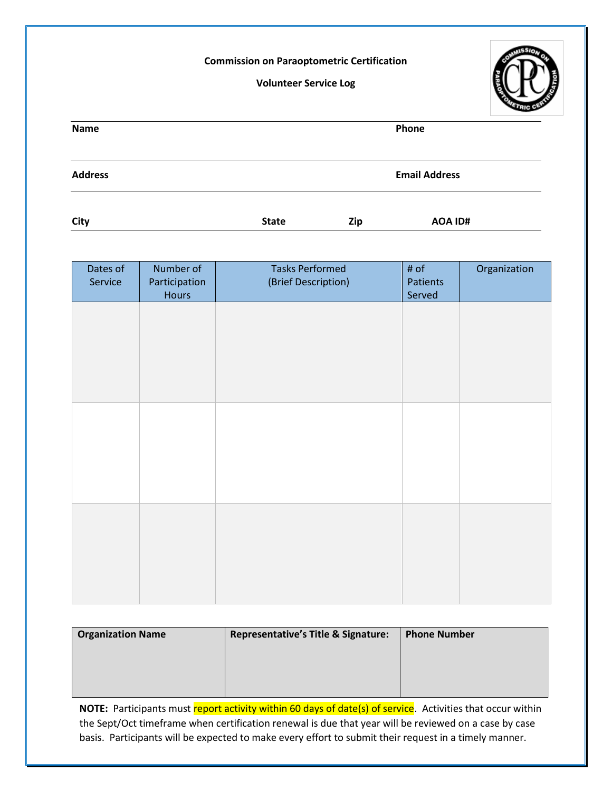## **Commission on Paraoptometric Certification**

## **Volunteer Service Log**



| Name           |              |     | Phone                |  |
|----------------|--------------|-----|----------------------|--|
| <b>Address</b> |              |     | <b>Email Address</b> |  |
| City           | <b>State</b> | Zip | AOA ID#              |  |

| Dates of<br>Service | Number of<br>Participation<br>Hours | <b>Tasks Performed</b><br>(Brief Description) | # of<br>Patients<br>Served | Organization |
|---------------------|-------------------------------------|-----------------------------------------------|----------------------------|--------------|
|                     |                                     |                                               |                            |              |
|                     |                                     |                                               |                            |              |
|                     |                                     |                                               |                            |              |
|                     |                                     |                                               |                            |              |
|                     |                                     |                                               |                            |              |
|                     |                                     |                                               |                            |              |
|                     |                                     |                                               |                            |              |
|                     |                                     |                                               |                            |              |

| <b>Organization Name</b> | <b>Representative's Title &amp; Signature:</b> | <b>Phone Number</b> |  |
|--------------------------|------------------------------------------------|---------------------|--|
|                          |                                                |                     |  |
|                          |                                                |                     |  |
|                          |                                                |                     |  |

the Sept/Oct timeframe when certification renewal is due that year will be reviewed on a case by case basis. Participants will be expected to make every effort to submit their request in a timely manner. **NOTE:** Participants must report activity within 60 days of date(s) of service. Activities that occur within